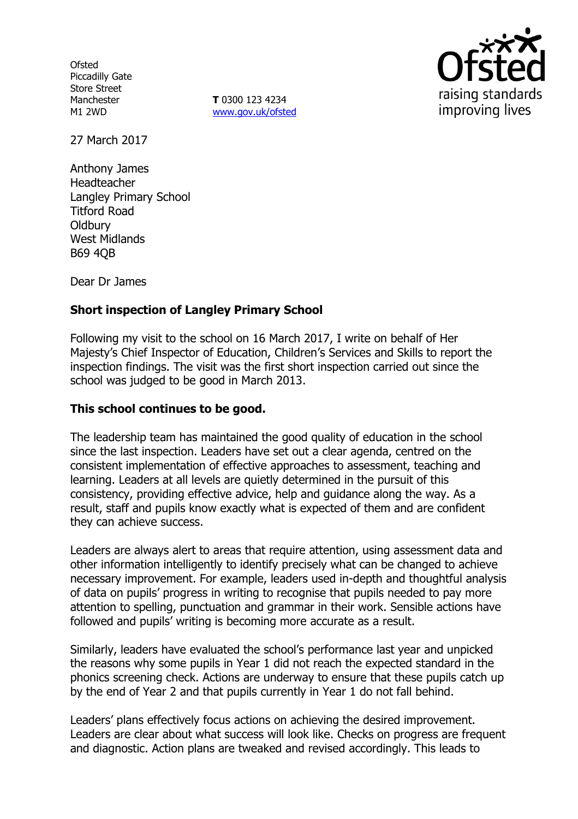**Ofsted** Piccadilly Gate Store Street Manchester M1 2WD

**T** 0300 123 4234 www.gov.uk/ofsted



27 March 2017

Anthony James Headteacher Langley Primary School Titford Road **Oldbury** West Midlands B69 4QB

Dear Dr James

# **Short inspection of Langley Primary School**

Following my visit to the school on 16 March 2017, I write on behalf of Her Majesty's Chief Inspector of Education, Children's Services and Skills to report the inspection findings. The visit was the first short inspection carried out since the school was judged to be good in March 2013.

#### **This school continues to be good.**

The leadership team has maintained the good quality of education in the school since the last inspection. Leaders have set out a clear agenda, centred on the consistent implementation of effective approaches to assessment, teaching and learning. Leaders at all levels are quietly determined in the pursuit of this consistency, providing effective advice, help and guidance along the way. As a result, staff and pupils know exactly what is expected of them and are confident they can achieve success.

Leaders are always alert to areas that require attention, using assessment data and other information intelligently to identify precisely what can be changed to achieve necessary improvement. For example, leaders used in-depth and thoughtful analysis of data on pupils' progress in writing to recognise that pupils needed to pay more attention to spelling, punctuation and grammar in their work. Sensible actions have followed and pupils' writing is becoming more accurate as a result.

Similarly, leaders have evaluated the school's performance last year and unpicked the reasons why some pupils in Year 1 did not reach the expected standard in the phonics screening check. Actions are underway to ensure that these pupils catch up by the end of Year 2 and that pupils currently in Year 1 do not fall behind.

Leaders' plans effectively focus actions on achieving the desired improvement. Leaders are clear about what success will look like. Checks on progress are frequent and diagnostic. Action plans are tweaked and revised accordingly. This leads to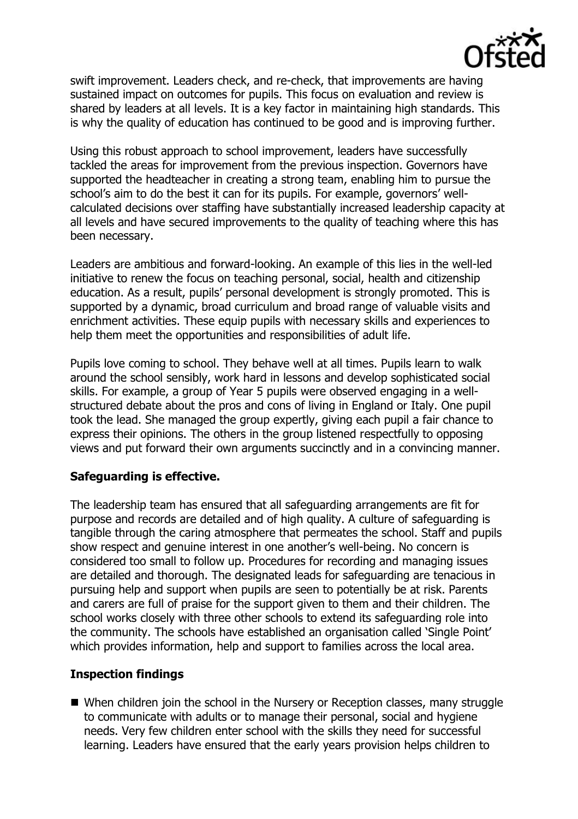

swift improvement. Leaders check, and re-check, that improvements are having sustained impact on outcomes for pupils. This focus on evaluation and review is shared by leaders at all levels. It is a key factor in maintaining high standards. This is why the quality of education has continued to be good and is improving further.

Using this robust approach to school improvement, leaders have successfully tackled the areas for improvement from the previous inspection. Governors have supported the headteacher in creating a strong team, enabling him to pursue the school's aim to do the best it can for its pupils. For example, governors' wellcalculated decisions over staffing have substantially increased leadership capacity at all levels and have secured improvements to the quality of teaching where this has been necessary.

Leaders are ambitious and forward-looking. An example of this lies in the well-led initiative to renew the focus on teaching personal, social, health and citizenship education. As a result, pupils' personal development is strongly promoted. This is supported by a dynamic, broad curriculum and broad range of valuable visits and enrichment activities. These equip pupils with necessary skills and experiences to help them meet the opportunities and responsibilities of adult life.

Pupils love coming to school. They behave well at all times. Pupils learn to walk around the school sensibly, work hard in lessons and develop sophisticated social skills. For example, a group of Year 5 pupils were observed engaging in a wellstructured debate about the pros and cons of living in England or Italy. One pupil took the lead. She managed the group expertly, giving each pupil a fair chance to express their opinions. The others in the group listened respectfully to opposing views and put forward their own arguments succinctly and in a convincing manner.

# **Safeguarding is effective.**

The leadership team has ensured that all safeguarding arrangements are fit for purpose and records are detailed and of high quality. A culture of safeguarding is tangible through the caring atmosphere that permeates the school. Staff and pupils show respect and genuine interest in one another's well-being. No concern is considered too small to follow up. Procedures for recording and managing issues are detailed and thorough. The designated leads for safeguarding are tenacious in pursuing help and support when pupils are seen to potentially be at risk. Parents and carers are full of praise for the support given to them and their children. The school works closely with three other schools to extend its safeguarding role into the community. The schools have established an organisation called 'Single Point' which provides information, help and support to families across the local area.

### **Inspection findings**

■ When children join the school in the Nursery or Reception classes, many struggle to communicate with adults or to manage their personal, social and hygiene needs. Very few children enter school with the skills they need for successful learning. Leaders have ensured that the early years provision helps children to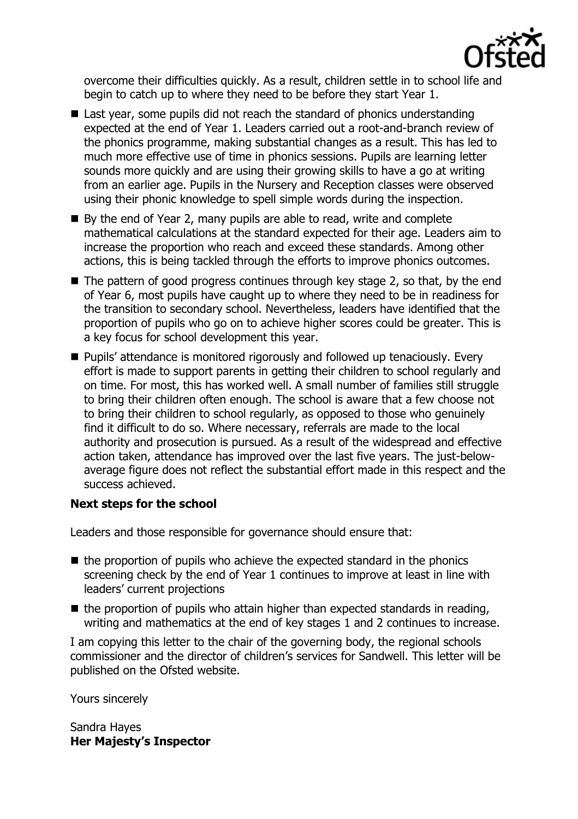

overcome their difficulties quickly. As a result, children settle in to school life and begin to catch up to where they need to be before they start Year 1.

- Last year, some pupils did not reach the standard of phonics understanding expected at the end of Year 1. Leaders carried out a root-and-branch review of the phonics programme, making substantial changes as a result. This has led to much more effective use of time in phonics sessions. Pupils are learning letter sounds more quickly and are using their growing skills to have a go at writing from an earlier age. Pupils in the Nursery and Reception classes were observed using their phonic knowledge to spell simple words during the inspection.
- By the end of Year 2, many pupils are able to read, write and complete mathematical calculations at the standard expected for their age. Leaders aim to increase the proportion who reach and exceed these standards. Among other actions, this is being tackled through the efforts to improve phonics outcomes.
- $\blacksquare$  The pattern of good progress continues through key stage 2, so that, by the end of Year 6, most pupils have caught up to where they need to be in readiness for the transition to secondary school. Nevertheless, leaders have identified that the proportion of pupils who go on to achieve higher scores could be greater. This is a key focus for school development this year.
- Pupils' attendance is monitored rigorously and followed up tenaciously. Every effort is made to support parents in getting their children to school regularly and on time. For most, this has worked well. A small number of families still struggle to bring their children often enough. The school is aware that a few choose not to bring their children to school regularly, as opposed to those who genuinely find it difficult to do so. Where necessary, referrals are made to the local authority and prosecution is pursued. As a result of the widespread and effective action taken, attendance has improved over the last five years. The just-belowaverage figure does not reflect the substantial effort made in this respect and the success achieved.

### **Next steps for the school**

Leaders and those responsible for governance should ensure that:

- $\blacksquare$  the proportion of pupils who achieve the expected standard in the phonics screening check by the end of Year 1 continues to improve at least in line with leaders' current projections
- $\blacksquare$  the proportion of pupils who attain higher than expected standards in reading, writing and mathematics at the end of key stages 1 and 2 continues to increase.

I am copying this letter to the chair of the governing body, the regional schools commissioner and the director of children's services for Sandwell. This letter will be published on the Ofsted website.

Yours sincerely

Sandra Hayes **Her Majesty's Inspector**